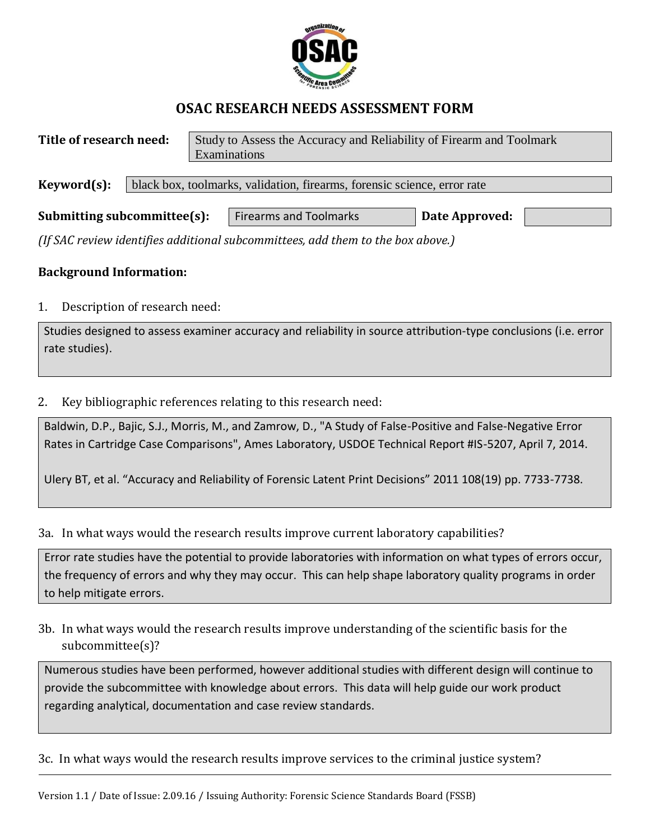

## **OSAC RESEARCH NEEDS ASSESSMENT FORM**

| Title of research need:     |                                                                          | Study to Assess the Accuracy and Reliability of Firearm and Toolmark |                |  |  |  |  |
|-----------------------------|--------------------------------------------------------------------------|----------------------------------------------------------------------|----------------|--|--|--|--|
|                             |                                                                          | Examinations                                                         |                |  |  |  |  |
|                             |                                                                          |                                                                      |                |  |  |  |  |
| Keyword(s):                 | black box, toolmarks, validation, firearms, forensic science, error rate |                                                                      |                |  |  |  |  |
|                             |                                                                          |                                                                      |                |  |  |  |  |
| Submitting subcommittee(s): |                                                                          | <b>Firearms and Toolmarks</b>                                        | Date Approved: |  |  |  |  |

*(If SAC review identifies additional subcommittees, add them to the box above.)*

## **Background Information:**

1. Description of research need:

Studies designed to assess examiner accuracy and reliability in source attribution-type conclusions (i.e. error rate studies).

2. Key bibliographic references relating to this research need:

Baldwin, D.P., Bajic, S.J., Morris, M., and Zamrow, D., "A Study of False-Positive and False-Negative Error Rates in Cartridge Case Comparisons", Ames Laboratory, USDOE Technical Report #IS-5207, April 7, 2014.

Ulery BT, et al. "Accuracy and Reliability of Forensic Latent Print Decisions" 2011 108(19) pp. 7733-7738.

3a. In what ways would the research results improve current laboratory capabilities?

Error rate studies have the potential to provide laboratories with information on what types of errors occur, the frequency of errors and why they may occur. This can help shape laboratory quality programs in order to help mitigate errors.

3b. In what ways would the research results improve understanding of the scientific basis for the subcommittee(s)?

Numerous studies have been performed, however additional studies with different design will continue to provide the subcommittee with knowledge about errors. This data will help guide our work product regarding analytical, documentation and case review standards.

3c. In what ways would the research results improve services to the criminal justice system?